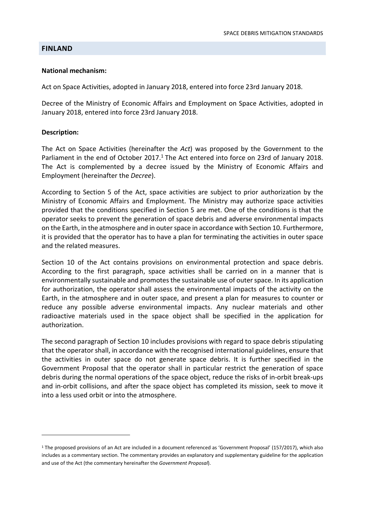### **FINLAND**

#### National mechanism:

Act on Space Activities, adopted in January 2018, entered into force 23rd January 2018.

Decree of the Ministry of Economic Affairs and Employment on Space Activities, adopted in January 2018, entered into force 23rd January 2018.

### Description:

The Act on Space Activities (hereinafter the Act) was proposed by the Government to the Parliament in the end of October 2017.<sup>1</sup> The Act entered into force on 23rd of January 2018. The Act is complemented by a decree issued by the Ministry of Economic Affairs and Employment (hereinafter the Decree).

According to Section 5 of the Act, space activities are subject to prior authorization by the Ministry of Economic Affairs and Employment. The Ministry may authorize space activities provided that the conditions specified in Section 5 are met. One of the conditions is that the operator seeks to prevent the generation of space debris and adverse environmental impacts on the Earth, in the atmosphere and in outer space in accordance with Section 10. Furthermore, it is provided that the operator has to have a plan for terminating the activities in outer space and the related measures.

Section 10 of the Act contains provisions on environmental protection and space debris. According to the first paragraph, space activities shall be carried on in a manner that is environmentally sustainable and promotes the sustainable use of outer space. In its application for authorization, the operator shall assess the environmental impacts of the activity on the Earth, in the atmosphere and in outer space, and present a plan for measures to counter or reduce any possible adverse environmental impacts. Any nuclear materials and other radioactive materials used in the space object shall be specified in the application for authorization.

The second paragraph of Section 10 includes provisions with regard to space debris stipulating that the operator shall, in accordance with the recognised international guidelines, ensure that the activities in outer space do not generate space debris. It is further specified in the Government Proposal that the operator shall in particular restrict the generation of space debris during the normal operations of the space object, reduce the risks of in-orbit break-ups and in-orbit collisions, and after the space object has completed its mission, seek to move it into a less used orbit or into the atmosphere.

<sup>1</sup> The proposed provisions of an Act are included in a document referenced as 'Government Proposal' (157/2017), which also includes as a commentary section. The commentary provides an explanatory and supplementary guideline for the application and use of the Act (the commentary hereinafter the Government Proposal).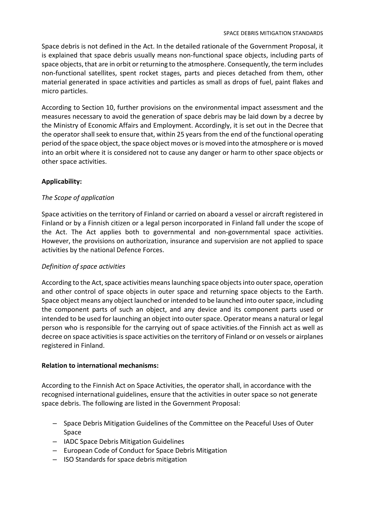Space debris is not defined in the Act. In the detailed rationale of the Government Proposal, it is explained that space debris usually means non-functional space objects, including parts of space objects, that are in orbit or returning to the atmosphere. Consequently, the term includes non-functional satellites, spent rocket stages, parts and pieces detached from them, other material generated in space activities and particles as small as drops of fuel, paint flakes and micro particles.

According to Section 10, further provisions on the environmental impact assessment and the measures necessary to avoid the generation of space debris may be laid down by a decree by the Ministry of Economic Affairs and Employment. Accordingly, it is set out in the Decree that the operator shall seek to ensure that, within 25 years from the end of the functional operating period of the space object, the space object moves or is moved into the atmosphere or is moved into an orbit where it is considered not to cause any danger or harm to other space objects or other space activities.

# Applicability:

## The Scope of application

Space activities on the territory of Finland or carried on aboard a vessel or aircraft registered in Finland or by a Finnish citizen or a legal person incorporated in Finland fall under the scope of the Act. The Act applies both to governmental and non-governmental space activities. However, the provisions on authorization, insurance and supervision are not applied to space activities by the national Defence Forces.

## Definition of space activities

According to the Act, space activities means launching space objects into outer space, operation and other control of space objects in outer space and returning space objects to the Earth. Space object means any object launched or intended to be launched into outer space, including the component parts of such an object, and any device and its component parts used or intended to be used for launching an object into outer space. Operator means a natural or legal person who is responsible for the carrying out of space activities.of the Finnish act as well as decree on space activities is space activities on the territory of Finland or on vessels or airplanes registered in Finland.

### Relation to international mechanisms:

According to the Finnish Act on Space Activities, the operator shall, in accordance with the recognised international guidelines, ensure that the activities in outer space so not generate space debris. The following are listed in the Government Proposal:

- Space Debris Mitigation Guidelines of the Committee on the Peaceful Uses of Outer Space
- IADC Space Debris Mitigation Guidelines
- European Code of Conduct for Space Debris Mitigation
- ISO Standards for space debris mitigation